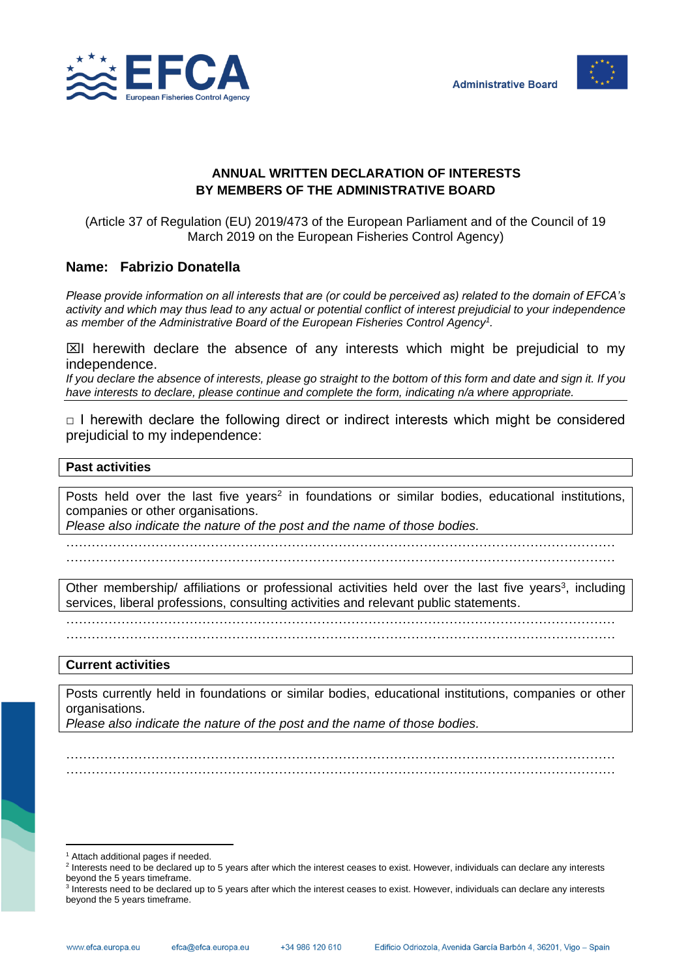



# **ANNUAL WRITTEN DECLARATION OF INTERESTS BY MEMBERS OF THE ADMINISTRATIVE BOARD**

(Article 37 of Regulation (EU) 2019/473 of the European Parliament and of the Council of 19 March 2019 on the European Fisheries Control Agency)

# **Name: Fabrizio Donatella**

*Please provide information on all interests that are (or could be perceived as) related to the domain of EFCA's activity and which may thus lead to any actual or potential conflict of interest prejudicial to your independence as member of the Administrative Board of the European Fisheries Control Agency<sup>1</sup> .*

 $\boxtimes$ I herewith declare the absence of any interests which might be prejudicial to my independence.

*If you declare the absence of interests, please go straight to the bottom of this form and date and sign it. If you have interests to declare, please continue and complete the form, indicating n/a where appropriate.*

 $\Box$  I herewith declare the following direct or indirect interests which might be considered prejudicial to my independence:

### **Past activities**

Posts held over the last five years<sup>2</sup> in foundations or similar bodies, educational institutions, companies or other organisations.

*Please also indicate the nature of the post and the name of those bodies.*

………………………………………………………………………………………………………………… …………………………………………………………………………………………………………………

Other membership/ affiliations or professional activities held over the last five years<sup>3</sup>, including services, liberal professions, consulting activities and relevant public statements.

…………………………………………………………………………………………………………………

…………………………………………………………………………………………………………………

#### **Current activities**

Posts currently held in foundations or similar bodies, educational institutions, companies or other organisations.

………………………………………………………………………………………………………………… …………………………………………………………………………………………………………………

*Please also indicate the nature of the post and the name of those bodies.*

<sup>&</sup>lt;sup>1</sup> Attach additional pages if needed.

<sup>&</sup>lt;sup>2</sup> Interests need to be declared up to 5 years after which the interest ceases to exist. However, individuals can declare any interests beyond the 5 years timeframe.

<sup>&</sup>lt;sup>3</sup> Interests need to be declared up to 5 years after which the interest ceases to exist. However, individuals can declare any interests beyond the 5 years timeframe.